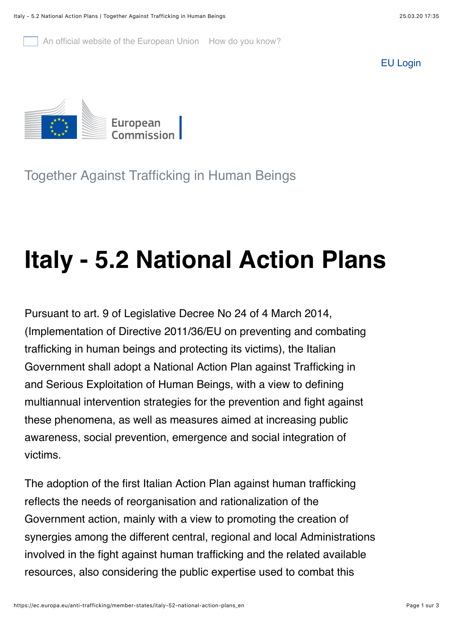An official website of the European Union How do you know?

[EU Login](https://ec.europa.eu/anti-trafficking/ecas_en)



Together Against Trafficking in Human Beings

## **Italy - 5.2 National Action Plans**

Pursuant to art. 9 of Legislative Decree No 24 of 4 March 2014, (Implementation of Directive 2011/36/EU on preventing and combating trafficking in human beings and protecting its victims), the Italian Government shall adopt a National Action Plan against Trafficking in and Serious Exploitation of Human Beings, with a view to defining multiannual intervention strategies for the prevention and fight against these phenomena, as well as measures aimed at increasing public awareness, social prevention, emergence and social integration of victims.

The adoption of the first Italian Action Plan against human trafficking reflects the needs of reorganisation and rationalization of the Government action, mainly with a view to promoting the creation of synergies among the different central, regional and local Administrations involved in the fight against human trafficking and the related available resources, also considering the public expertise used to combat this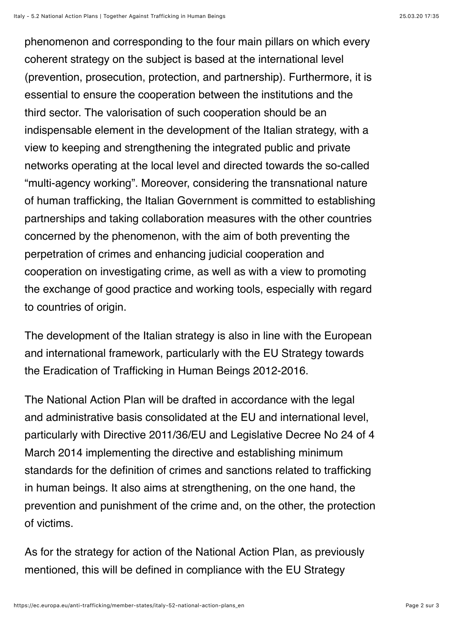phenomenon and corresponding to the four main pillars on which every coherent strategy on the subject is based at the international level (prevention, prosecution, protection, and partnership). Furthermore, it is essential to ensure the cooperation between the institutions and the third sector. The valorisation of such cooperation should be an indispensable element in the development of the Italian strategy, with a view to keeping and strengthening the integrated public and private networks operating at the local level and directed towards the so-called "multi-agency working". Moreover, considering the transnational nature of human trafficking, the Italian Government is committed to establishing partnerships and taking collaboration measures with the other countries concerned by the phenomenon, with the aim of both preventing the perpetration of crimes and enhancing judicial cooperation and cooperation on investigating crime, as well as with a view to promoting the exchange of good practice and working tools, especially with regard to countries of origin.

The development of the Italian strategy is also in line with the European and international framework, particularly with the EU Strategy towards the Eradication of Trafficking in Human Beings 2012-2016.

The National Action Plan will be drafted in accordance with the legal and administrative basis consolidated at the EU and international level, particularly with Directive 2011/36/EU and Legislative Decree No 24 of 4 March 2014 implementing the directive and establishing minimum standards for the definition of crimes and sanctions related to trafficking in human beings. It also aims at strengthening, on the one hand, the prevention and punishment of the crime and, on the other, the protection of victims.

As for the strategy for action of the National Action Plan, as previously mentioned, this will be defined in compliance with the EU Strategy